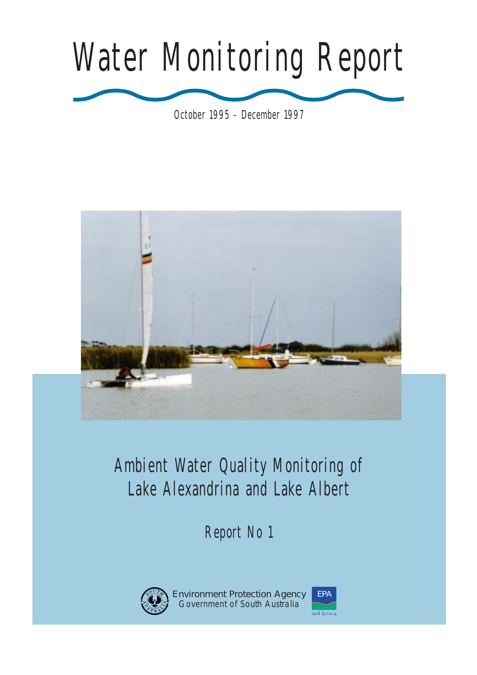# Water Monitoring Report

October 1995 - December 1997



# Lake Alexandrina and Lake Albert Ambient Water Quality Monitoring of

Report No 1



Environment Protection Agency Government of South Australia

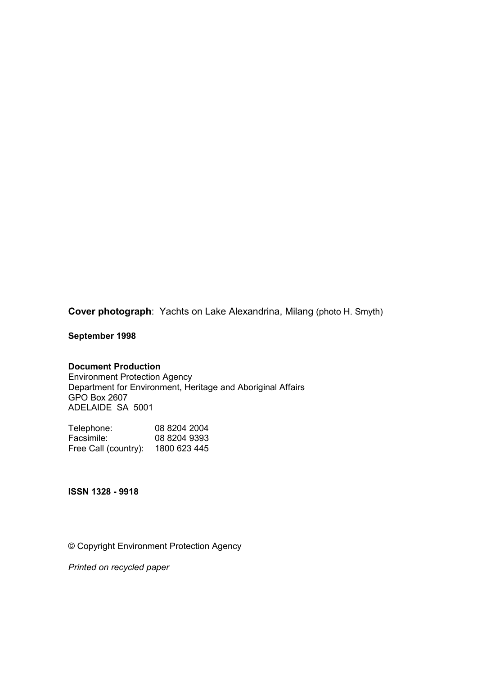**Cover photograph**: Yachts on Lake Alexandrina, Milang (photo H. Smyth)

**September 1998** 

#### **Document Production**

Environment Protection Agency Department for Environment, Heritage and Aboriginal Affairs GPO Box 2607 ADELAIDE SA 5001

| Telephone:           | 08 8204 2004 |
|----------------------|--------------|
| Facsimile:           | 08 8204 9393 |
| Free Call (country): | 1800 623 445 |

**ISSN 1328 - 9918**

© Copyright Environment Protection Agency

*Printed on recycled paper*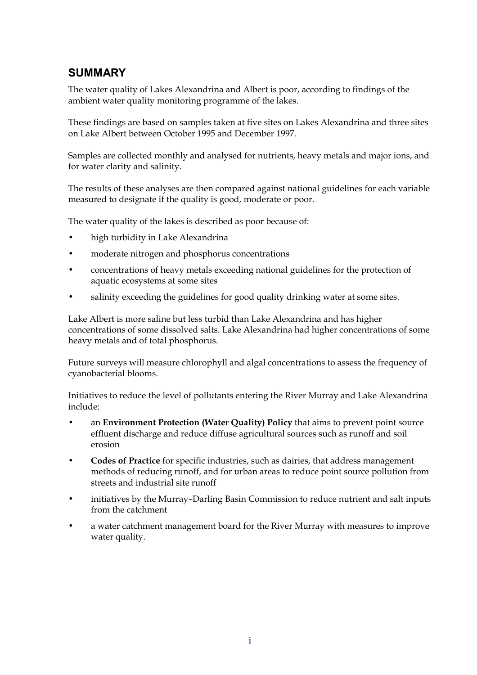## **SUMMARY**

The water quality of Lakes Alexandrina and Albert is poor, according to findings of the ambient water quality monitoring programme of the lakes.

These findings are based on samples taken at five sites on Lakes Alexandrina and three sites on Lake Albert between October 1995 and December 1997.

Samples are collected monthly and analysed for nutrients, heavy metals and major ions, and for water clarity and salinity.

The results of these analyses are then compared against national guidelines for each variable measured to designate if the quality is good, moderate or poor.

The water quality of the lakes is described as poor because of:

- high turbidity in Lake Alexandrina
- moderate nitrogen and phosphorus concentrations
- concentrations of heavy metals exceeding national guidelines for the protection of aquatic ecosystems at some sites
- salinity exceeding the guidelines for good quality drinking water at some sites.

Lake Albert is more saline but less turbid than Lake Alexandrina and has higher concentrations of some dissolved salts. Lake Alexandrina had higher concentrations of some heavy metals and of total phosphorus.

Future surveys will measure chlorophyll and algal concentrations to assess the frequency of cyanobacterial blooms.

Initiatives to reduce the level of pollutants entering the River Murray and Lake Alexandrina include:

- an **Environment Protection (Water Quality) Policy** that aims to prevent point source effluent discharge and reduce diffuse agricultural sources such as runoff and soil erosion
- **Codes of Practice** for specific industries, such as dairies, that address management methods of reducing runoff, and for urban areas to reduce point source pollution from streets and industrial site runoff
- initiatives by the Murray–Darling Basin Commission to reduce nutrient and salt inputs from the catchment
- a water catchment management board for the River Murray with measures to improve water quality.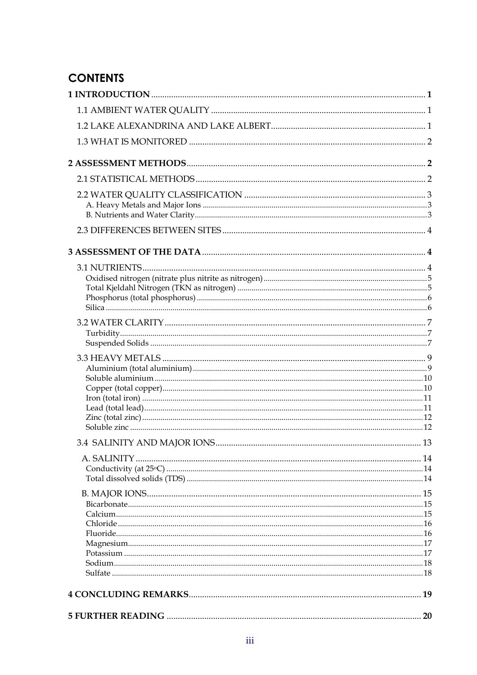## **CONTENTS**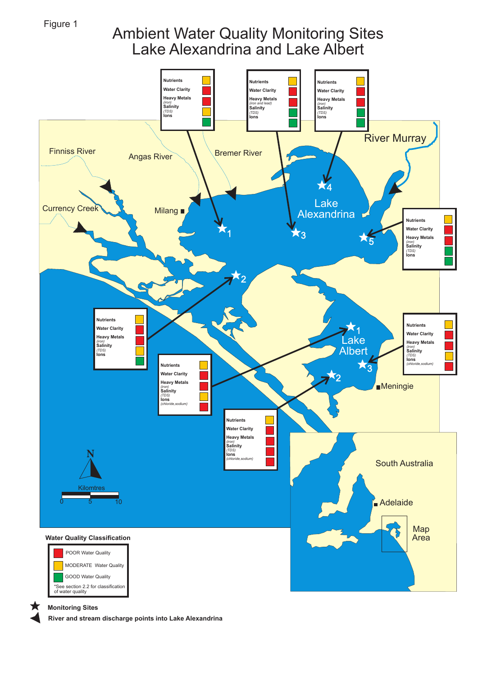Figure 1

## Ambient Water Quality Monitoring Sites Lake Alexandrina and Lake Albert



#### **Monitoring Sites**

**River and stream discharge points into Lake Alexandrina**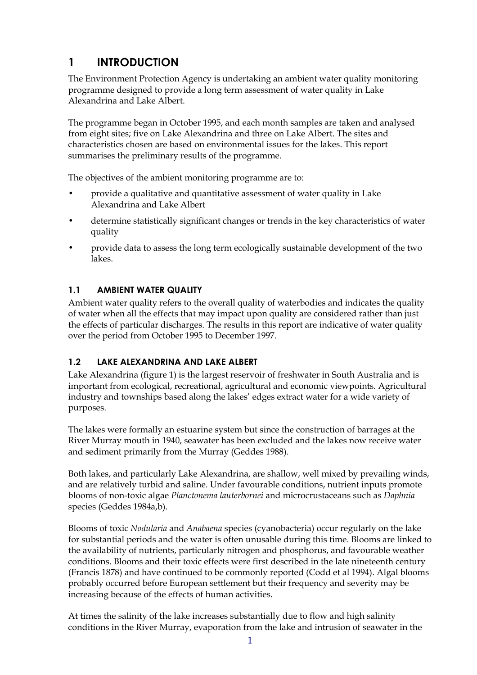## <span id="page-5-0"></span>**1 INTRODUCTION**

The Environment Protection Agency is undertaking an ambient water quality monitoring programme designed to provide a long term assessment of water quality in Lake Alexandrina and Lake Albert.

The programme began in October 1995, and each month samples are taken and analysed from eight sites; five on Lake Alexandrina and three on Lake Albert. The sites and characteristics chosen are based on environmental issues for the lakes. This report summarises the preliminary results of the programme.

The objectives of the ambient monitoring programme are to:

- provide a qualitative and quantitative assessment of water quality in Lake Alexandrina and Lake Albert
- determine statistically significant changes or trends in the key characteristics of water quality
- provide data to assess the long term ecologically sustainable development of the two lakes.

#### **1.1 AMBIENT WATER QUALITY**

Ambient water quality refers to the overall quality of waterbodies and indicates the quality of water when all the effects that may impact upon quality are considered rather than just the effects of particular discharges. The results in this report are indicative of water quality over the period from October 1995 to December 1997.

#### **1.2 LAKE ALEXANDRINA AND LAKE ALBERT**

Lake Alexandrina (figure 1) is the largest reservoir of freshwater in South Australia and is important from ecological, recreational, agricultural and economic viewpoints. Agricultural industry and townships based along the lakes' edges extract water for a wide variety of purposes.

The lakes were formally an estuarine system but since the construction of barrages at the River Murray mouth in 1940, seawater has been excluded and the lakes now receive water and sediment primarily from the Murray (Geddes 1988).

Both lakes, and particularly Lake Alexandrina, are shallow, well mixed by prevailing winds, and are relatively turbid and saline. Under favourable conditions, nutrient inputs promote blooms of non-toxic algae *Planctonema lauterbornei* and microcrustaceans such as *Daphnia*  species (Geddes 1984a,b).

Blooms of toxic *Nodularia* and *Anabaena* species (cyanobacteria) occur regularly on the lake for substantial periods and the water is often unusable during this time. Blooms are linked to the availability of nutrients, particularly nitrogen and phosphorus, and favourable weather conditions. Blooms and their toxic effects were first described in the late nineteenth century (Francis 1878) and have continued to be commonly reported (Codd et al 1994). Algal blooms probably occurred before European settlement but their frequency and severity may be increasing because of the effects of human activities.

At times the salinity of the lake increases substantially due to flow and high salinity conditions in the River Murray, evaporation from the lake and intrusion of seawater in the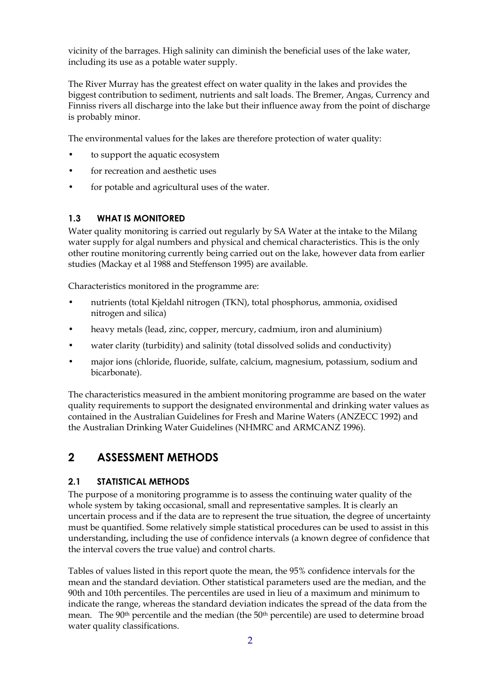<span id="page-6-0"></span>vicinity of the barrages. High salinity can diminish the beneficial uses of the lake water, including its use as a potable water supply.

The River Murray has the greatest effect on water quality in the lakes and provides the biggest contribution to sediment, nutrients and salt loads. The Bremer, Angas, Currency and Finniss rivers all discharge into the lake but their influence away from the point of discharge is probably minor.

The environmental values for the lakes are therefore protection of water quality:

- to support the aquatic ecosystem
- for recreation and aesthetic uses
- for potable and agricultural uses of the water.

#### **1.3 WHAT IS MONITORED**

Water quality monitoring is carried out regularly by SA Water at the intake to the Milang water supply for algal numbers and physical and chemical characteristics. This is the only other routine monitoring currently being carried out on the lake, however data from earlier studies (Mackay et al 1988 and Steffenson 1995) are available.

Characteristics monitored in the programme are:

- nutrients (total Kjeldahl nitrogen (TKN), total phosphorus, ammonia, oxidised nitrogen and silica)
- heavy metals (lead, zinc, copper, mercury, cadmium, iron and aluminium)
- water clarity (turbidity) and salinity (total dissolved solids and conductivity)
- major ions (chloride, fluoride, sulfate, calcium, magnesium, potassium, sodium and bicarbonate).

The characteristics measured in the ambient monitoring programme are based on the water quality requirements to support the designated environmental and drinking water values as contained in the Australian Guidelines for Fresh and Marine Waters (ANZECC 1992) and the Australian Drinking Water Guidelines (NHMRC and ARMCANZ 1996).

## **2 ASSESSMENT METHODS**

#### **2.1 STATISTICAL METHODS**

The purpose of a monitoring programme is to assess the continuing water quality of the whole system by taking occasional, small and representative samples. It is clearly an uncertain process and if the data are to represent the true situation, the degree of uncertainty must be quantified. Some relatively simple statistical procedures can be used to assist in this understanding, including the use of confidence intervals (a known degree of confidence that the interval covers the true value) and control charts.

Tables of values listed in this report quote the mean, the 95% confidence intervals for the mean and the standard deviation. Other statistical parameters used are the median, and the 90th and 10th percentiles. The percentiles are used in lieu of a maximum and minimum to indicate the range, whereas the standard deviation indicates the spread of the data from the mean. The 90<sup>th</sup> percentile and the median (the 50<sup>th</sup> percentile) are used to determine broad water quality classifications.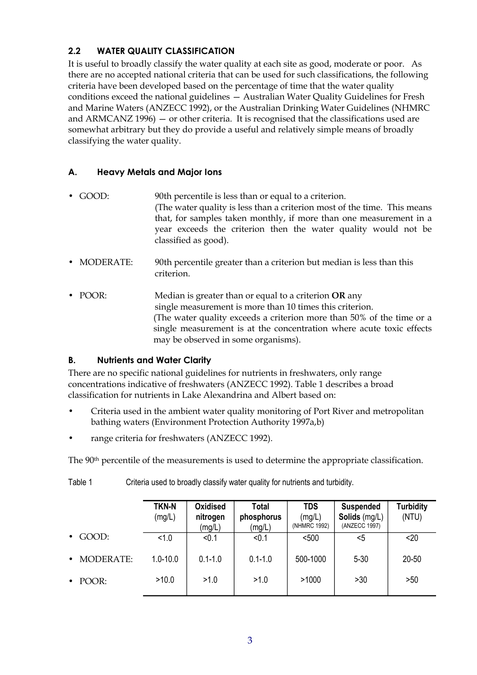#### <span id="page-7-0"></span>**2.2 WATER QUALITY CLASSIFICATION**

It is useful to broadly classify the water quality at each site as good, moderate or poor. As there are no accepted national criteria that can be used for such classifications, the following criteria have been developed based on the percentage of time that the water quality conditions exceed the national guidelines — Australian Water Quality Guidelines for Fresh and Marine Waters (ANZECC 1992), or the Australian Drinking Water Guidelines (NHMRC and ARMCANZ 1996) — or other criteria. It is recognised that the classifications used are somewhat arbitrary but they do provide a useful and relatively simple means of broadly classifying the water quality.

#### **A. Heavy Metals and Major Ions**

- GOOD: 90th percentile is less than or equal to a criterion. (The water quality is less than a criterion most of the time. This means that, for samples taken monthly, if more than one measurement in a year exceeds the criterion then the water quality would not be classified as good).
- MODERATE: 90th percentile greater than a criterion but median is less than this criterion.
- • POOR: Median is greater than or equal to a criterion **OR** any single measurement is more than 10 times this criterion. (The water quality exceeds a criterion more than 50% of the time or a single measurement is at the concentration where acute toxic effects may be observed in some organisms).

#### **B. Nutrients and Water Clarity**

There are no specific national guidelines for nutrients in freshwaters, only range concentrations indicative of freshwaters (ANZECC 1992). Table 1 describes a broad classification for nutrients in Lake Alexandrina and Albert based on:

- Criteria used in the ambient water quality monitoring of Port River and metropolitan bathing waters (Environment Protection Authority 1997a,b)
- range criteria for freshwaters (ANZECC 1992).

The 90<sup>th</sup> percentile of the measurements is used to determine the appropriate classification.

Table 1 Criteria used to broadly classify water quality for nutrients and turbidity.

|                               | <b>TKN-N</b><br>(mg/L) | <b>Oxidised</b><br>nitrogen<br>(mg/L) | <b>Total</b><br>phosphorus<br>(mg/L) | <b>TDS</b><br>(mg/L)<br>(NHMRC 1992) | <b>Suspended</b><br><b>Solids</b> (mg/L)<br>(ANZECC 1997) | <b>Turbidity</b><br>(NTU) |
|-------------------------------|------------------------|---------------------------------------|--------------------------------------|--------------------------------------|-----------------------------------------------------------|---------------------------|
| GOOD:<br>$\bullet$            | < 1.0                  | < 0.1                                 | < 0.1                                | $500$                                | <5                                                        | $20$                      |
| <b>MODERATE:</b><br>$\bullet$ | $1.0 - 10.0$           | $0.1 - 1.0$                           | $0.1 - 1.0$                          | 500-1000                             | $5 - 30$                                                  | $20 - 50$                 |
| POOR:<br>$\bullet$            | >10.0                  | >1.0                                  | >1.0                                 | >1000                                | >30                                                       | >50                       |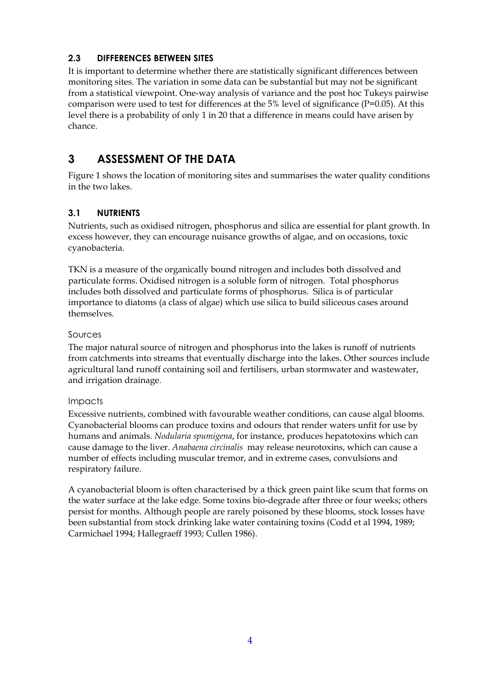#### <span id="page-8-0"></span>**2.3 DIFFERENCES BETWEEN SITES**

It is important to determine whether there are statistically significant differences between monitoring sites. The variation in some data can be substantial but may not be significant from a statistical viewpoint. One-way analysis of variance and the post hoc Tukeys pairwise comparison were used to test for differences at the 5% level of significance (P=0.05). At this level there is a probability of only 1 in 20 that a difference in means could have arisen by chance.

## **3 ASSESSMENT OF THE DATA**

Figure 1 shows the location of monitoring sites and summarises the water quality conditions in the two lakes.

## **3.1 NUTRIENTS**

Nutrients, such as oxidised nitrogen, phosphorus and silica are essential for plant growth. In excess however, they can encourage nuisance growths of algae, and on occasions, toxic cyanobacteria.

TKN is a measure of the organically bound nitrogen and includes both dissolved and particulate forms. Oxidised nitrogen is a soluble form of nitrogen. Total phosphorus includes both dissolved and particulate forms of phosphorus. Silica is of particular importance to diatoms (a class of algae) which use silica to build siliceous cases around themselves.

#### Sources

The major natural source of nitrogen and phosphorus into the lakes is runoff of nutrients from catchments into streams that eventually discharge into the lakes. Other sources include agricultural land runoff containing soil and fertilisers, urban stormwater and wastewater, and irrigation drainage.

#### Impacts

Excessive nutrients, combined with favourable weather conditions, can cause algal blooms. Cyanobacterial blooms can produce toxins and odours that render waters unfit for use by humans and animals. *Nodularia spumigena*, for instance, produces hepatotoxins which can cause damage to the liver. *Anabaena circinalis* may release neurotoxins, which can cause a number of effects including muscular tremor, and in extreme cases, convulsions and respiratory failure.

A cyanobacterial bloom is often characterised by a thick green paint like scum that forms on the water surface at the lake edge. Some toxins bio-degrade after three or four weeks; others persist for months. Although people are rarely poisoned by these blooms, stock losses have been substantial from stock drinking lake water containing toxins (Codd et al 1994, 1989; Carmichael 1994; Hallegraeff 1993; Cullen 1986).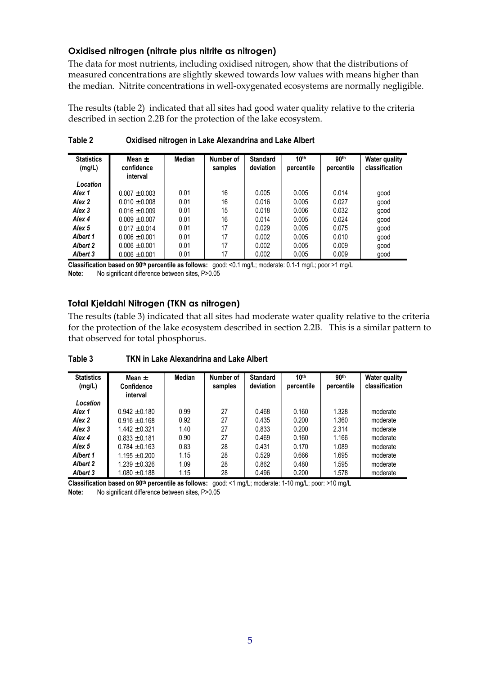#### **Oxidised nitrogen (nitrate plus nitrite as nitrogen)**

The data for most nutrients, including oxidised nitrogen, show that the distributions of measured concentrations are slightly skewed towards low values with means higher than the median. Nitrite concentrations in well-oxygenated ecosystems are normally negligible.

The results (table 2) indicated that all sites had good water quality relative to the criteria described in section 2.2B for the protection of the lake ecosystem.

| <b>Statistics</b><br>(mg/L) | Mean $\pm$<br>confidence<br>interval | Median | Number of<br>samples | <b>Standard</b><br>deviation | 10 <sup>th</sup><br>percentile | 90 <sup>th</sup><br>percentile | <b>Water quality</b><br>classification |
|-----------------------------|--------------------------------------|--------|----------------------|------------------------------|--------------------------------|--------------------------------|----------------------------------------|
| Location                    |                                      |        |                      |                              |                                |                                |                                        |
| Alex 1                      | $0.007 \pm 0.003$                    | 0.01   | 16                   | 0.005                        | 0.005                          | 0.014                          | qood                                   |
| Alex 2                      | $0.010 \pm 0.008$                    | 0.01   | 16                   | 0.016                        | 0.005                          | 0.027                          | good                                   |
| Alex 3                      | $0.016 \pm 0.009$                    | 0.01   | 15                   | 0.018                        | 0.006                          | 0.032                          | good                                   |
| Alex 4                      | $0.009 \pm 0.007$                    | 0.01   | 16                   | 0.014                        | 0.005                          | 0.024                          | good                                   |
| Alex <sub>5</sub>           | $0.017 \pm 0.014$                    | 0.01   | 17                   | 0.029                        | 0.005                          | 0.075                          | good                                   |
| <b>Albert 1</b>             | $0.006 + 0.001$                      | 0.01   | 17                   | 0.002                        | 0.005                          | 0.010                          | good                                   |
| <b>Albert 2</b>             | $0.006 + 0.001$                      | 0.01   | 17                   | 0.002                        | 0.005                          | 0.009                          | good                                   |
| Albert 3                    | $0.006 \pm 0.001$                    | 0.01   | 17                   | 0.002                        | 0.005                          | 0.009                          | good                                   |

**Table 2 Oxidised nitrogen in Lake Alexandrina and Lake Albert** 

**Classification based on 90th percentile as follows:** good: <0.1 mg/L; moderate: 0.1-1 mg/L; poor >1 mg/L **Note:** No significant difference between sites, P>0.05

#### **Total Kjeldahl Nitrogen (TKN as nitrogen)**

The results (table 3) indicated that all sites had moderate water quality relative to the criteria for the protection of the lake ecosystem described in section 2.2B. This is a similar pattern to that observed for total phosphorus.

| Table 3 | TKN in Lake Alexandrina and Lake Albert |
|---------|-----------------------------------------|
|---------|-----------------------------------------|

| <b>Statistics</b><br>(mg/L) | Mean $\pm$<br><b>Confidence</b><br>interval | Median | Number of<br>samples | <b>Standard</b><br>deviation | 10 <sup>th</sup><br>percentile | 90 <sup>th</sup><br>percentile | <b>Water quality</b><br>classification |
|-----------------------------|---------------------------------------------|--------|----------------------|------------------------------|--------------------------------|--------------------------------|----------------------------------------|
| Location                    |                                             |        |                      |                              |                                |                                |                                        |
| Alex 1                      | $0.942 \pm 0.180$                           | 0.99   | 27                   | 0.468                        | 0.160                          | 1.328                          | moderate                               |
| Alex 2                      | $0.916 \pm 0.168$                           | 0.92   | 27                   | 0.435                        | 0.200                          | 1.360                          | moderate                               |
| Alex 3                      | $1.442 \pm 0.321$                           | 1.40   | 27                   | 0.833                        | 0.200                          | 2.314                          | moderate                               |
| Alex 4                      | $0.833 \pm 0.181$                           | 0.90   | 27                   | 0.469                        | 0.160                          | 1.166                          | moderate                               |
| Alex <sub>5</sub>           | $0.784 \pm 0.163$                           | 0.83   | 28                   | 0.431                        | 0.170                          | 1.089                          | moderate                               |
| <b>Albert 1</b>             | $1.195 \pm 0.200$                           | 1.15   | 28                   | 0.529                        | 0.666                          | 1.695                          | moderate                               |
| <b>Albert 2</b>             | $1.239 \pm 0.326$                           | 1.09   | 28                   | 0.862                        | 0.480                          | 1.595                          | moderate                               |
| <b>Albert 3</b>             | $1.080 \pm 0.188$                           | 1.15   | 28                   | 0.496                        | 0.200                          | 1.578                          | moderate                               |

**Classification based on 90th percentile as follows:** good: <1 mg/L; moderate: 1-10 mg/L; poor: >10 mg/L **Note:** No significant difference between sites, P>0.05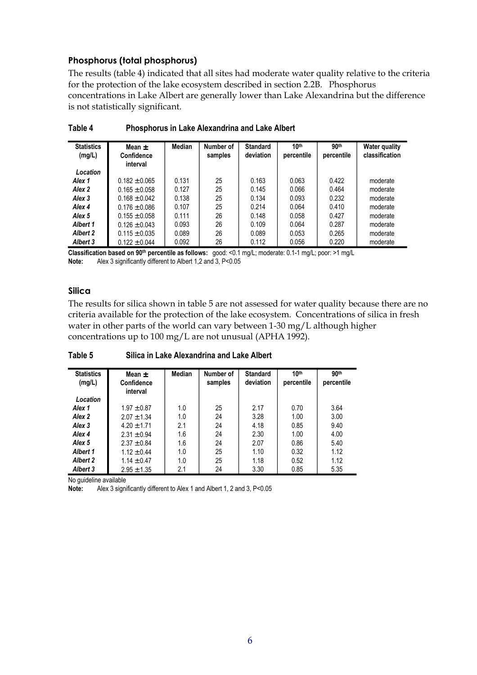#### **Phosphorus (total phosphorus)**

The results (table 4) indicated that all sites had moderate water quality relative to the criteria for the protection of the lake ecosystem described in section 2.2B. Phosphorus concentrations in Lake Albert are generally lower than Lake Alexandrina but the difference is not statistically significant.

| <b>Statistics</b><br>(mg/L) | Mean $\pm$<br><b>Confidence</b><br>interval | Median | Number of<br>samples | <b>Standard</b><br>deviation | 10 <sup>th</sup><br>percentile | 90 <sup>th</sup><br>percentile | <b>Water quality</b><br>classification |
|-----------------------------|---------------------------------------------|--------|----------------------|------------------------------|--------------------------------|--------------------------------|----------------------------------------|
| Location                    |                                             |        |                      |                              |                                |                                |                                        |
| Alex 1                      | $0.182 \pm 0.065$                           | 0.131  | 25                   | 0.163                        | 0.063                          | 0.422                          | moderate                               |
| Alex <sub>2</sub>           | $0.165 \pm 0.058$                           | 0.127  | 25                   | 0.145                        | 0.066                          | 0.464                          | moderate                               |
| Alex <sub>3</sub>           | $0.168 \pm 0.042$                           | 0.138  | 25                   | 0.134                        | 0.093                          | 0.232                          | moderate                               |
| Alex 4                      | $0.176 \pm 0.086$                           | 0.107  | 25                   | 0.214                        | 0.064                          | 0.410                          | moderate                               |
| Alex <sub>5</sub>           | $0.155 \pm 0.058$                           | 0.111  | 26                   | 0.148                        | 0.058                          | 0.427                          | moderate                               |
| <b>Albert 1</b>             | $0.126 \pm 0.043$                           | 0.093  | 26                   | 0.109                        | 0.064                          | 0.287                          | moderate                               |
| <b>Albert 2</b>             | $0.115 \pm 0.035$                           | 0.089  | 26                   | 0.089                        | 0.053                          | 0.265                          | moderate                               |
| <b>Albert 3</b>             | $0.122 \pm 0.044$                           | 0.092  | 26                   | 0.112                        | 0.056                          | 0.220                          | moderate                               |

**Table 4 Phosphorus in Lake Alexandrina and Lake Albert** 

**Classification based on 90th percentile as follows:** good: <0.1 mg/L; moderate: 0.1-1 mg/L; poor: >1 mg/L **Note:** Alex 3 significantly different to Albert 1,2 and 3, P<0.05

#### **Silica**

The results for silica shown in table 5 are not assessed for water quality because there are no criteria available for the protection of the lake ecosystem. Concentrations of silica in fresh water in other parts of the world can vary between 1-30 mg/L although higher concentrations up to 100 mg/L are not unusual (APHA 1992).

**Table 5 Silica in Lake Alexandrina and Lake Albert** 

| <b>Statistics</b><br>(mg/L) | Mean $\pm$<br><b>Confidence</b><br>interval | Median | Number of<br>samples | <b>Standard</b><br>deviation | 10 <sup>th</sup><br>percentile | 90 <sup>th</sup><br>percentile |
|-----------------------------|---------------------------------------------|--------|----------------------|------------------------------|--------------------------------|--------------------------------|
| Location                    |                                             |        |                      |                              |                                |                                |
| Alex 1                      | $1.97 \pm 0.87$                             | 1.0    | 25                   | 2.17                         | 0.70                           | 3.64                           |
| Alex 2                      | $2.07 \pm 1.34$                             | 1.0    | 24                   | 3.28                         | 1.00                           | 3.00                           |
| Alex 3                      | $4.20 + 1.71$                               | 2.1    | 24                   | 4.18                         | 0.85                           | 9.40                           |
| Alex 4                      | $2.31 \pm 0.94$                             | 1.6    | 24                   | 2.30                         | 1.00                           | 4.00                           |
| Alex <sub>5</sub>           | $2.37 \pm 0.84$                             | 1.6    | 24                   | 2.07                         | 0.86                           | 5.40                           |
| <b>Albert 1</b>             | $1.12 \pm 0.44$                             | 1.0    | 25                   | 1.10                         | 0.32                           | 1.12                           |
| <b>Albert 2</b>             | $1.14 \pm 0.47$                             | 1.0    | 25                   | 1.18                         | 0.52                           | 1.12                           |
| <b>Albert 3</b>             | $2.95 \pm 1.35$                             | 2.1    | 24                   | 3.30                         | 0.85                           | 5.35                           |

No guideline available

**Note:** Alex 3 significantly different to Alex 1 and Albert 1, 2 and 3, P<0.05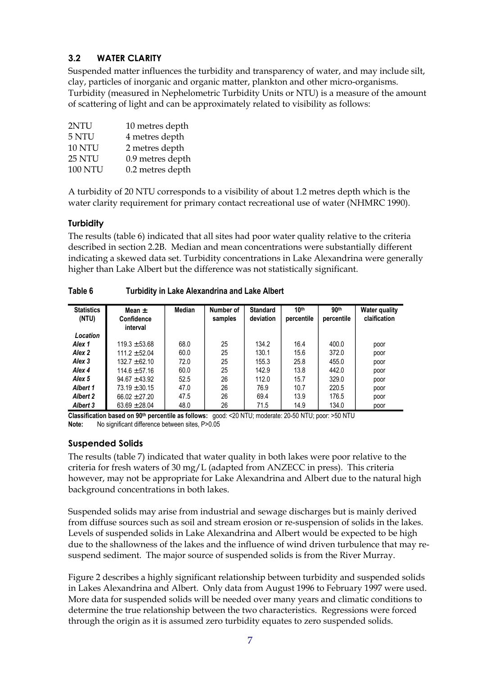## <span id="page-11-0"></span>**3.2 WATER CLARITY**

Suspended matter influences the turbidity and transparency of water, and may include silt, clay, particles of inorganic and organic matter, plankton and other micro-organisms. Turbidity (measured in Nephelometric Turbidity Units or NTU) is a measure of the amount of scattering of light and can be approximately related to visibility as follows:

| 2NTU           | 10 metres depth  |
|----------------|------------------|
| 5 NTU          | 4 metres depth   |
| <b>10 NTU</b>  | 2 metres depth   |
| 25 NTU         | 0.9 metres depth |
| <b>100 NTU</b> | 0.2 metres depth |

A turbidity of 20 NTU corresponds to a visibility of about 1.2 metres depth which is the water clarity requirement for primary contact recreational use of water (NHMRC 1990).

#### **Turbidity**

The results (table 6) indicated that all sites had poor water quality relative to the criteria described in section 2.2B. Median and mean concentrations were substantially different indicating a skewed data set. Turbidity concentrations in Lake Alexandrina were generally higher than Lake Albert but the difference was not statistically significant.

| <b>Statistics</b><br>(NTU) | Mean $\pm$<br><b>Confidence</b><br>interval | Median | Number of<br>samples | <b>Standard</b><br>deviation | 10 <sup>th</sup><br>percentile | 90 <sup>th</sup><br>percentile | <b>Water quality</b><br>claification |
|----------------------------|---------------------------------------------|--------|----------------------|------------------------------|--------------------------------|--------------------------------|--------------------------------------|
| Location                   |                                             |        |                      |                              |                                |                                |                                      |
| Alex 1                     | $119.3 \pm 53.68$                           | 68.0   | 25                   | 134.2                        | 16.4                           | 400.0                          | poor                                 |
| Alex 2                     | $111.2 \pm 52.04$                           | 60.0   | 25                   | 130.1                        | 15.6                           | 372.0                          | poor                                 |
| Alex 3                     | $132.7 \pm 62.10$                           | 72.0   | 25                   | 155.3                        | 25.8                           | 455.0                          | poor                                 |
| Alex 4                     | $114.6 \pm 57.16$                           | 60.0   | 25                   | 142.9                        | 13.8                           | 442.0                          | poor                                 |
| Alex <sub>5</sub>          | $94.67 \pm 43.92$                           | 52.5   | 26                   | 112.0                        | 15.7                           | 329.0                          | poor                                 |
| Albert 1                   | $73.19 \pm 30.15$                           | 47.0   | 26                   | 76.9                         | 10.7                           | 220.5                          | poor                                 |
| <b>Albert 2</b>            | $66.02 \pm 27.20$                           | 47.5   | 26                   | 69.4                         | 13.9                           | 176.5                          | poor                                 |
| Albert 3                   | $63.69 \pm 28.04$                           | 48.0   | 26                   | 71.5                         | 14.9                           | 134.0                          | poor                                 |

**Table 6 Turbidity in Lake Alexandrina and Lake Albert** 

**Classification based on 90th percentile as follows:** good: <20 NTU; moderate: 20-50 NTU; poor: >50 NTU **Note:** No significant difference between sites, P>0.05

#### **Suspended Solids**

The results (table 7) indicated that water quality in both lakes were poor relative to the criteria for fresh waters of 30 mg/L (adapted from ANZECC in press). This criteria however, may not be appropriate for Lake Alexandrina and Albert due to the natural high background concentrations in both lakes.

Suspended solids may arise from industrial and sewage discharges but is mainly derived from diffuse sources such as soil and stream erosion or re-suspension of solids in the lakes. Levels of suspended solids in Lake Alexandrina and Albert would be expected to be high due to the shallowness of the lakes and the influence of wind driven turbulence that may resuspend sediment. The major source of suspended solids is from the River Murray.

Figure 2 describes a highly significant relationship between turbidity and suspended solids in Lakes Alexandrina and Albert. Only data from August 1996 to February 1997 were used. More data for suspended solids will be needed over many years and climatic conditions to determine the true relationship between the two characteristics. Regressions were forced through the origin as it is assumed zero turbidity equates to zero suspended solids.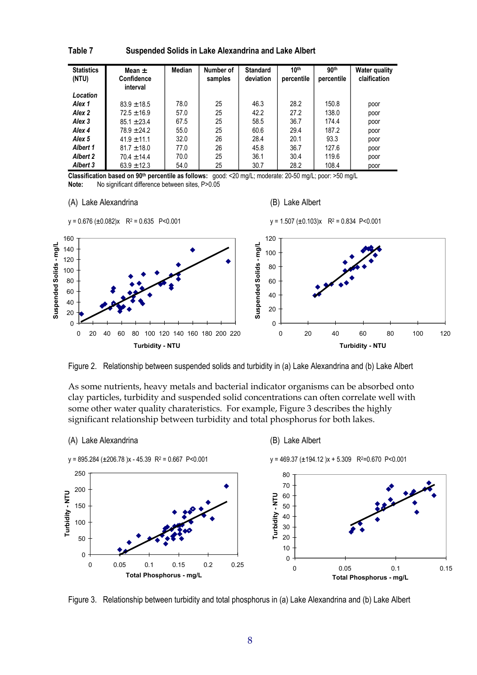| <b>Statistics</b><br>(NTU) | Mean $\pm$<br>Confidence<br>interval | Median | Number of<br>samples | <b>Standard</b><br>deviation | 10 <sup>th</sup><br>percentile | 90 <sup>th</sup><br>percentile | <b>Water quality</b><br>claification |
|----------------------------|--------------------------------------|--------|----------------------|------------------------------|--------------------------------|--------------------------------|--------------------------------------|
| Location                   |                                      |        |                      |                              |                                |                                |                                      |
| Alex 1                     | $83.9 \pm 18.5$                      | 78.0   | 25                   | 46.3                         | 28.2                           | 150.8                          | poor                                 |
| Alex 2                     | $72.5 \pm 16.9$                      | 57.0   | 25                   | 42.2                         | 27.2                           | 138.0                          | poor                                 |
| Alex 3                     | $85.1 \pm 23.4$                      | 67.5   | 25                   | 58.5                         | 36.7                           | 174.4                          | poor                                 |
| Alex 4                     | $78.9 \pm 24.2$                      | 55.0   | 25                   | 60.6                         | 29.4                           | 187.2                          | poor                                 |
| Alex <sub>5</sub>          | $41.9 + 11.1$                        | 32.0   | 26                   | 28.4                         | 20.1                           | 93.3                           | poor                                 |
| Albert 1                   | $81.7 \pm 18.0$                      | 77.0   | 26                   | 45.8                         | 36.7                           | 127.6                          | poor                                 |
| Albert 2                   | $70.4 \pm 14.4$                      | 70.0   | 25                   | 36.1                         | 30.4                           | 119.6                          | poor                                 |
| Albert 3                   | $63.9 \pm 12.3$                      | 54.0   | 25                   | 30.7                         | 28.2                           | 108.4                          | poor                                 |

**Table 7 Suspended Solids in Lake Alexandrina and Lake Albert**

**Classification based on 90th percentile as follows:** good: <20 mg/L; moderate: 20-50 mg/L; poor: >50 mg/L **Note:** No significant difference between sites, P>0.05

#### (A) Lake Alexandrina (B) Lake Albert



Figure 2. Relationship between suspended solids and turbidity in (a) Lake Alexandrina and (b) Lake Albert

As some nutrients, heavy metals and bacterial indicator organisms can be absorbed onto clay particles, turbidity and suspended solid concentrations can often correlate well with some other water quality charateristics. For example, Figure 3 describes the highly significant relationship between turbidity and total phosphorus for both lakes.



Figure 3. Relationship between turbidity and total phosphorus in (a) Lake Alexandrina and (b) Lake Albert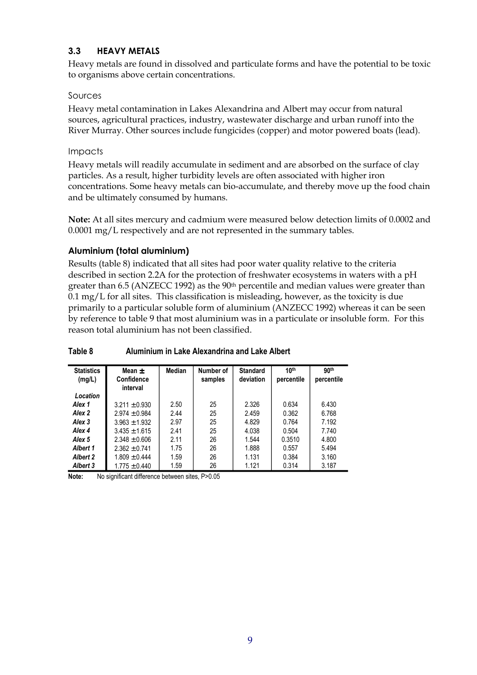#### <span id="page-13-0"></span>**3.3 HEAVY METALS**

Heavy metals are found in dissolved and particulate forms and have the potential to be toxic to organisms above certain concentrations.

#### Sources

Heavy metal contamination in Lakes Alexandrina and Albert may occur from natural sources, agricultural practices, industry, wastewater discharge and urban runoff into the River Murray. Other sources include fungicides (copper) and motor powered boats (lead).

#### Impacts

Heavy metals will readily accumulate in sediment and are absorbed on the surface of clay particles. As a result, higher turbidity levels are often associated with higher iron concentrations. Some heavy metals can bio-accumulate, and thereby move up the food chain and be ultimately consumed by humans.

**Note:** At all sites mercury and cadmium were measured below detection limits of 0.0002 and 0.0001 mg/L respectively and are not represented in the summary tables.

#### **Aluminium (total aluminium)**

Results (table 8) indicated that all sites had poor water quality relative to the criteria described in section 2.2A for the protection of freshwater ecosystems in waters with a pH greater than 6.5 (ANZECC 1992) as the 90th percentile and median values were greater than 0.1 mg/L for all sites. This classification is misleading, however, as the toxicity is due primarily to a particular soluble form of aluminium (ANZECC 1992) whereas it can be seen by reference to table 9 that most aluminium was in a particulate or insoluble form. For this reason total aluminium has not been classified.

| <b>Statistics</b><br>(mg/L) | Mean $\pm$<br>Confidence<br>interval | Median | Number of<br>samples | <b>Standard</b><br>deviation | 10 <sup>th</sup><br>percentile | 90 <sup>th</sup><br>percentile |
|-----------------------------|--------------------------------------|--------|----------------------|------------------------------|--------------------------------|--------------------------------|
| Location                    |                                      |        |                      |                              |                                |                                |
| Alex 1                      | $3.211 \pm 0.930$                    | 2.50   | 25                   | 2.326                        | 0.634                          | 6.430                          |
| Alex 2                      | $2.974 \pm 0.984$                    | 2.44   | 25                   | 2.459                        | 0.362                          | 6.768                          |
| Alex 3                      | $3.963 \pm 1.932$                    | 2.97   | 25                   | 4.829                        | 0.764                          | 7.192                          |
| Alex 4                      | $3.435 + 1.615$                      | 2.41   | 25                   | 4.038                        | 0.504                          | 7.740                          |
| Alex <sub>5</sub>           | $2.348 \pm 0.606$                    | 2.11   | 26                   | 1.544                        | 0.3510                         | 4.800                          |
| <b>Albert 1</b>             | $2.362 \pm 0.741$                    | 1.75   | 26                   | 1.888                        | 0.557                          | 5.494                          |
| <b>Albert 2</b>             | $1.809 \pm 0.444$                    | 1.59   | 26                   | 1.131                        | 0.384                          | 3.160                          |
| <b>Albert 3</b>             | $1.775 \pm 0.440$                    | 1.59   | 26                   | 1.121                        | 0.314                          | 3.187                          |

#### **Table 8 Aluminium in Lake Alexandrina and Lake Albert**

**Note:** No significant difference between sites, P>0.05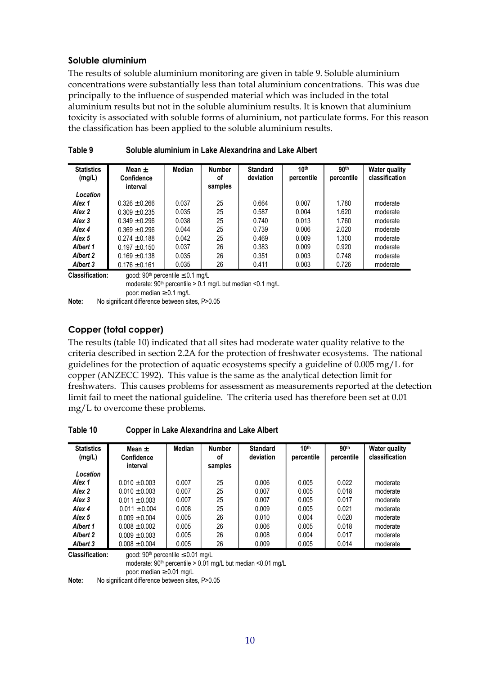#### **Soluble aluminium**

The results of soluble aluminium monitoring are given in table 9. Soluble aluminium concentrations were substantially less than total aluminium concentrations. This was due principally to the influence of suspended material which was included in the total aluminium results but not in the soluble aluminium results. It is known that aluminium toxicity is associated with soluble forms of aluminium, not particulate forms. For this reason the classification has been applied to the soluble aluminium results.

| <b>Statistics</b><br>(mg/L) | Mean $\pm$<br><b>Confidence</b><br>interval                                                                         | Median | <b>Number</b><br>οf<br>samples | <b>Standard</b><br>deviation | 10 <sup>th</sup><br>percentile | 90 <sup>th</sup><br>percentile | <b>Water quality</b><br>classification |  |  |
|-----------------------------|---------------------------------------------------------------------------------------------------------------------|--------|--------------------------------|------------------------------|--------------------------------|--------------------------------|----------------------------------------|--|--|
| Location                    |                                                                                                                     |        |                                |                              |                                |                                |                                        |  |  |
| Alex 1                      | $0.326 \pm 0.266$                                                                                                   | 0.037  | 25                             | 0.664                        | 0.007                          | 1.780                          | moderate                               |  |  |
| Alex <sub>2</sub>           | $0.309 \pm 0.235$                                                                                                   | 0.035  | 25                             | 0.587                        | 0.004                          | 1.620                          | moderate                               |  |  |
| Alex 3                      | $0.349 \pm 0.296$                                                                                                   | 0.038  | 25                             | 0.740                        | 0.013                          | 1.760                          | moderate                               |  |  |
| Alex <sub>4</sub>           | $0.369 + 0.296$                                                                                                     | 0.044  | 25                             | 0.739                        | 0.006                          | 2.020                          | moderate                               |  |  |
| Alex <sub>5</sub>           | $0.274 \pm 0.188$                                                                                                   | 0.042  | 25                             | 0.469                        | 0.009                          | 1.300                          | moderate                               |  |  |
| Albert 1                    | $0.197 \pm 0.150$                                                                                                   | 0.037  | 26                             | 0.383                        | 0.009                          | 0.920                          | moderate                               |  |  |
| <b>Albert 2</b>             | $0.169 \pm 0.138$                                                                                                   | 0.035  | 26                             | 0.351                        | 0.003                          | 0.748                          | moderate                               |  |  |
| Albert 3                    | $0.176 \pm 0.161$                                                                                                   | 0.035  | 26                             | 0.411                        | 0.003                          | 0.726                          | moderate                               |  |  |
| <b>Classification:</b>      | good: 90 <sup>th</sup> percentile $\leq$ 0.1 mg/L<br>moderate: $90th$ percentile $> 0.1$ mg/L but median < 0.1 mg/L |        |                                |                              |                                |                                |                                        |  |  |

| Table 9<br>Soluble aluminium in Lake Alexandrina and Lake Albert |
|------------------------------------------------------------------|
|------------------------------------------------------------------|

poor: median ≥ 0.1 mg/L **Note:** No significant difference between sites, P>0.05

#### **Copper (total copper)**

The results (table 10) indicated that all sites had moderate water quality relative to the criteria described in section 2.2A for the protection of freshwater ecosystems. The national guidelines for the protection of aquatic ecosystems specify a guideline of 0.005 mg/L for copper (ANZECC 1992). This value is the same as the analytical detection limit for freshwaters. This causes problems for assessment as measurements reported at the detection limit fail to meet the national guideline. The criteria used has therefore been set at 0.01 mg/L to overcome these problems.

| Table 10 | <b>Copper in Lake Alexandrina and Lake Albert</b> |
|----------|---------------------------------------------------|
|----------|---------------------------------------------------|

| <b>Statistics</b><br>(mg/L) | Mean $\pm$<br><b>Confidence</b><br>interval | Median | <b>Number</b><br>οf<br>samples | <b>Standard</b><br>deviation | 10 <sup>th</sup><br>percentile | 90th<br>percentile | <b>Water quality</b><br>classification |
|-----------------------------|---------------------------------------------|--------|--------------------------------|------------------------------|--------------------------------|--------------------|----------------------------------------|
| Location                    |                                             |        |                                |                              |                                |                    |                                        |
| Alex 1                      | $0.010 \pm 0.003$                           | 0.007  | 25                             | 0.006                        | 0.005                          | 0.022              | moderate                               |
| Alex 2                      | $0.010 \pm 0.003$                           | 0.007  | 25                             | 0.007                        | 0.005                          | 0.018              | moderate                               |
| Alex 3                      | $0.011 \pm 0.003$                           | 0.007  | 25                             | 0.007                        | 0.005                          | 0.017              | moderate                               |
| Alex 4                      | $0.011 \pm 0.004$                           | 0.008  | 25                             | 0.009                        | 0.005                          | 0.021              | moderate                               |
| Alex <sub>5</sub>           | $0.009 + 0.004$                             | 0.005  | 26                             | 0.010                        | 0.004                          | 0.020              | moderate                               |
| Albert 1                    | $0.008 + 0.002$                             | 0.005  | 26                             | 0.006                        | 0.005                          | 0.018              | moderate                               |
| <b>Albert 2</b>             | $0.009 \pm 0.003$                           | 0.005  | 26                             | 0.008                        | 0.004                          | 0.017              | moderate                               |
| <b>Albert 3</b>             | $0.008 \pm 0.004$                           | 0.005  | 26                             | 0.009                        | 0.005                          | 0.014              | moderate                               |

**Classification:** good:  $90<sup>th</sup>$  percentile  $\leq 0.01$  mg/L

moderate: 90<sup>th</sup> percentile > 0.01 mg/L but median <0.01 mg/L

poor: median ≥ 0.01 mg/L

**Note:** No significant difference between sites, P>0.05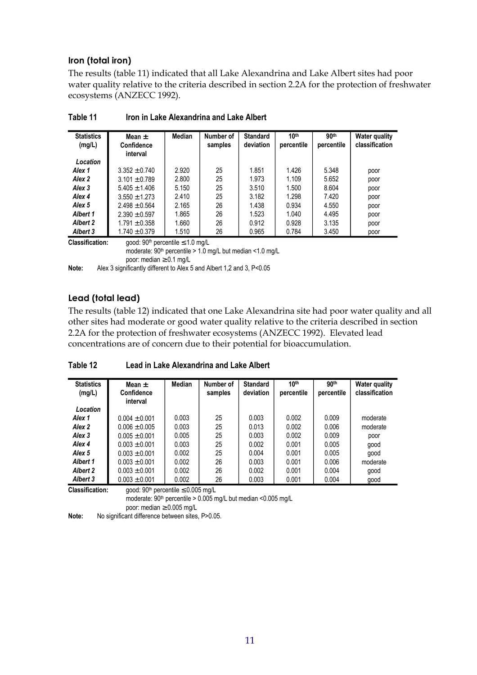#### **Iron (total iron)**

The results (table 11) indicated that all Lake Alexandrina and Lake Albert sites had poor water quality relative to the criteria described in section 2.2A for the protection of freshwater ecosystems (ANZECC 1992).

| <b>Statistics</b><br>(mg/L) | Mean $\pm$<br><b>Confidence</b><br>interval | <b>Median</b> | Number of<br>samples | <b>Standard</b><br>deviation | 10 <sup>th</sup><br>percentile | 90 <sup>th</sup><br>percentile | <b>Water quality</b><br>classification |
|-----------------------------|---------------------------------------------|---------------|----------------------|------------------------------|--------------------------------|--------------------------------|----------------------------------------|
| Location                    |                                             |               |                      |                              |                                |                                |                                        |
| Alex 1                      | $3.352 \pm 0.740$                           | 2.920         | 25                   | 1.851                        | 1.426                          | 5.348                          | poor                                   |
| Alex 2                      | $3.101 \pm 0.789$                           | 2.800         | 25                   | 1.973                        | 1.109                          | 5.652                          | poor                                   |
| Alex 3                      | $5.405 \pm 1.406$                           | 5.150         | 25                   | 3.510                        | 1.500                          | 8.604                          | poor                                   |
| Alex 4                      | $3.550 \pm 1.273$                           | 2.410         | 25                   | 3.182                        | 1.298                          | 7.420                          | poor                                   |
| Alex <sub>5</sub>           | $2.498 \pm 0.564$                           | 2.165         | 26                   | 1.438                        | 0.934                          | 4.550                          | poor                                   |
| Albert 1                    | $2.390 \pm 0.597$                           | 1.865         | 26                   | 1.523                        | 1.040                          | 4.495                          | poor                                   |
| <b>Albert 2</b>             | $1.791 \pm 0.358$                           | 1.660         | 26                   | 0.912                        | 0.928                          | 3.135                          | poor                                   |
| Albert 3                    | $1.740 \pm 0.379$                           | 1.510         | 26                   | 0.965                        | 0.784                          | 3.450                          | poor                                   |

| Table 11 | Iron in Lake Alexandrina and Lake Albert |
|----------|------------------------------------------|
|----------|------------------------------------------|

**Classification:** good:  $90<sup>th</sup>$  percentile  $\leq 1.0$  mg/L

moderate: 90<sup>th</sup> percentile > 1.0 mg/L but median <1.0 mg/L

poor: median ≥ 0.1 mg/L

Note: Alex 3 significantly different to Alex 5 and Albert 1,2 and 3, P<0.05

#### **Lead (total lead)**

The results (table 12) indicated that one Lake Alexandrina site had poor water quality and all other sites had moderate or good water quality relative to the criteria described in section 2.2A for the protection of freshwater ecosystems (ANZECC 1992). Elevated lead concentrations are of concern due to their potential for bioaccumulation.

**Table 12 Lead in Lake Alexandrina and Lake Albert** 

| <b>Statistics</b><br>(mg/L) | Mean +<br>Confidence<br>interval | Median | Number of<br>samples | <b>Standard</b><br>deviation | 10 <sup>th</sup><br>percentile | 90 <sup>th</sup><br>percentile | <b>Water quality</b><br>classification |
|-----------------------------|----------------------------------|--------|----------------------|------------------------------|--------------------------------|--------------------------------|----------------------------------------|
| Location                    |                                  |        |                      |                              |                                |                                |                                        |
| Alex 1                      | $0.004 \pm 0.001$                | 0.003  | 25                   | 0.003                        | 0.002                          | 0.009                          | moderate                               |
| Alex <sub>2</sub>           | $0.006 \pm 0.005$                | 0.003  | 25                   | 0.013                        | 0.002                          | 0.006                          | moderate                               |
| Alex 3                      | $0.005 + 0.001$                  | 0.005  | 25                   | 0.003                        | 0.002                          | 0.009                          | poor                                   |
| Alex 4                      | $0.003 + 0.001$                  | 0.003  | 25                   | 0.002                        | 0.001                          | 0.005                          | good                                   |
| Alex <sub>5</sub>           | $0.003 + 0.001$                  | 0.002  | 25                   | 0.004                        | 0.001                          | 0.005                          | good                                   |
| Albert 1                    | $0.003 \pm 0.001$                | 0.002  | 26                   | 0.003                        | 0.001                          | 0.006                          | moderate                               |
| <b>Albert 2</b>             | $0.003 + 0.001$                  | 0.002  | 26                   | 0.002                        | 0.001                          | 0.004                          | good                                   |
| Albert 3                    | $0.003 \pm 0.001$                | 0.002  | 26                   | 0.003                        | 0.001                          | 0.004                          | good                                   |

**Classification:** good:  $90<sup>th</sup>$  percentile  $\leq 0.005$  mg/L

moderate: 90th percentile > 0.005 mg/L but median <0.005 mg/L

poor: median ≥ 0.005 mg/L

**Note:** No significant difference between sites, P>0.05.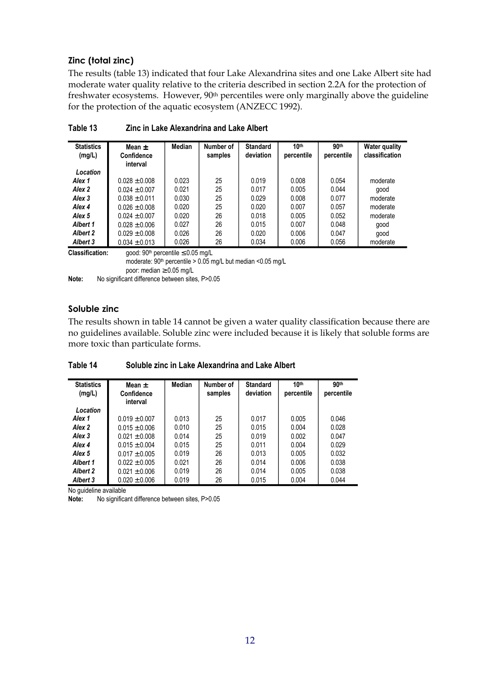#### **Zinc (total zinc)**

The results (table 13) indicated that four Lake Alexandrina sites and one Lake Albert site had moderate water quality relative to the criteria described in section 2.2A for the protection of freshwater ecosystems. However, 90<sup>th</sup> percentiles were only marginally above the guideline for the protection of the aquatic ecosystem (ANZECC 1992).

| <b>Statistics</b><br>(mg/L) | Mean $\pm$<br><b>Confidence</b><br>interval        | Median | Number of<br>samples | <b>Standard</b><br>deviation | 10 <sup>th</sup><br>percentile | 90 <sup>th</sup><br>percentile | <b>Water quality</b><br>classification |
|-----------------------------|----------------------------------------------------|--------|----------------------|------------------------------|--------------------------------|--------------------------------|----------------------------------------|
| Location                    |                                                    |        |                      |                              |                                |                                |                                        |
| Alex 1                      | $0.028 \pm 0.008$                                  | 0.023  | 25                   | 0.019                        | 0.008                          | 0.054                          | moderate                               |
| Alex 2                      | $0.024 \pm 0.007$                                  | 0.021  | 25                   | 0.017                        | 0.005                          | 0.044                          | good                                   |
| Alex <sub>3</sub>           | $0.038 \pm 0.011$                                  | 0.030  | 25                   | 0.029                        | 0.008                          | 0.077                          | moderate                               |
| Alex <sub>4</sub>           | $0.026 \pm 0.008$                                  | 0.020  | 25                   | 0.020                        | 0.007                          | 0.057                          | moderate                               |
| Alex <sub>5</sub>           | $0.024 + 0.007$                                    | 0.020  | 26                   | 0.018                        | 0.005                          | 0.052                          | moderate                               |
| Albert 1                    | $0.028 \pm 0.006$                                  | 0.027  | 26                   | 0.015                        | 0.007                          | 0.048                          | good                                   |
| <b>Albert 2</b>             | $0.029 \pm 0.008$                                  | 0.026  | 26                   | 0.020                        | 0.006                          | 0.047                          | good                                   |
| Albert 3                    | $0.034 \pm 0.013$                                  | 0.026  | 26                   | 0.034                        | 0.006                          | 0.056                          | moderate                               |
| <b>Classification:</b>      | good: 90 <sup>th</sup> percentile $\leq$ 0.05 mg/L |        |                      |                              |                                |                                |                                        |

**Table 13 Zinc in Lake Alexandrina and Lake Albert** 

moderate: 90th percentile > 0.05 mg/L but median <0.05 mg/L poor: median ≥ 0.05 mg/L **Note:** No significant difference between sites, P>0.05

#### **Soluble zinc**

The results shown in table 14 cannot be given a water quality classification because there are no guidelines available. Soluble zinc were included because it is likely that soluble forms are more toxic than particulate forms.

**Table 14 Soluble zinc in Lake Alexandrina and Lake Albert** 

| <b>Statistics</b><br>(mg/L) | Mean $\pm$<br>Confidence<br>interval | Median | Number of<br>samples | <b>Standard</b><br>deviation | 10 <sup>th</sup><br>percentile | 90 <sup>th</sup><br>percentile |
|-----------------------------|--------------------------------------|--------|----------------------|------------------------------|--------------------------------|--------------------------------|
| Location                    |                                      |        |                      |                              |                                |                                |
| Alex 1                      | $0.019 \pm 0.007$                    | 0.013  | 25                   | 0.017                        | 0.005                          | 0.046                          |
| Alex <sub>2</sub>           | $0.015 \pm 0.006$                    | 0.010  | 25                   | 0.015                        | 0.004                          | 0.028                          |
| Alex 3                      | $0.021 \pm 0.008$                    | 0.014  | 25                   | 0.019                        | 0.002                          | 0.047                          |
| Alex 4                      | $0.015 + 0.004$                      | 0.015  | 25                   | 0.011                        | 0.004                          | 0.029                          |
| Alex <sub>5</sub>           | $0.017 \pm 0.005$                    | 0.019  | 26                   | 0.013                        | 0.005                          | 0.032                          |
| <b>Albert 1</b>             | $0.022 \pm 0.005$                    | 0.021  | 26                   | 0.014                        | 0.006                          | 0.038                          |
| <b>Albert 2</b>             | $0.021 \pm 0.006$                    | 0.019  | 26                   | 0.014                        | 0.005                          | 0.038                          |
| Albert 3                    | $0.020 \pm 0.006$                    | 0.019  | 26                   | 0.015                        | 0.004                          | 0.044                          |

No quideline available

**Note:** No significant difference between sites, P>0.05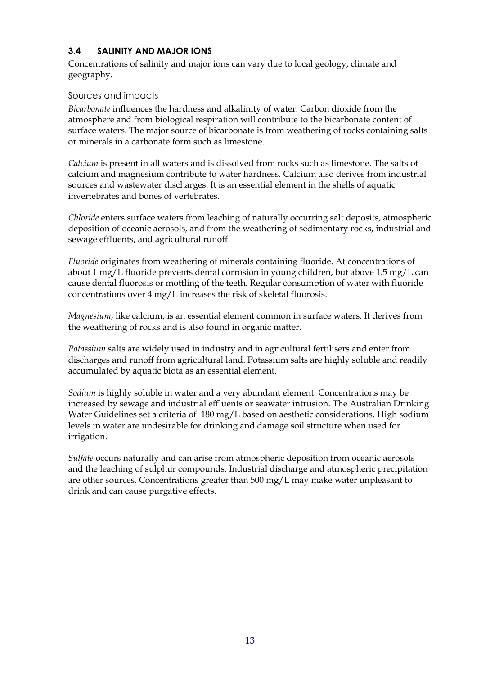#### <span id="page-17-0"></span>**3.4 SALINITY AND MAJOR IONS**

Concentrations of salinity and major ions can vary due to local geology, climate and geography.

#### Sources and impacts

*Bicarbonate* influences the hardness and alkalinity of water. Carbon dioxide from the atmosphere and from biological respiration will contribute to the bicarbonate content of surface waters. The major source of bicarbonate is from weathering of rocks containing salts or minerals in a carbonate form such as limestone.

*Calcium* is present in all waters and is dissolved from rocks such as limestone. The salts of calcium and magnesium contribute to water hardness. Calcium also derives from industrial sources and wastewater discharges. It is an essential element in the shells of aquatic invertebrates and bones of vertebrates.

*Chloride* enters surface waters from leaching of naturally occurring salt deposits, atmospheric deposition of oceanic aerosols, and from the weathering of sedimentary rocks, industrial and sewage effluents, and agricultural runoff.

*Fluoride* originates from weathering of minerals containing fluoride. At concentrations of about 1 mg/L fluoride prevents dental corrosion in young children, but above  $1.5 \text{ mg/L}$  can cause dental fluorosis or mottling of the teeth. Regular consumption of water with fluoride concentrations over 4 mg/L increases the risk of skeletal fluorosis.

*Magnesium*, like calcium, is an essential element common in surface waters. It derives from the weathering of rocks and is also found in organic matter.

*Potassium* salts are widely used in industry and in agricultural fertilisers and enter from discharges and runoff from agricultural land. Potassium salts are highly soluble and readily accumulated by aquatic biota as an essential element.

*Sodium* is highly soluble in water and a very abundant element. Concentrations may be increased by sewage and industrial effluents or seawater intrusion. The Australian Drinking Water Guidelines set a criteria of 180 mg/L based on aesthetic considerations. High sodium levels in water are undesirable for drinking and damage soil structure when used for irrigation.

*Sulfate* occurs naturally and can arise from atmospheric deposition from oceanic aerosols and the leaching of sulphur compounds. Industrial discharge and atmospheric precipitation are other sources. Concentrations greater than 500 mg/L may make water unpleasant to drink and can cause purgative effects.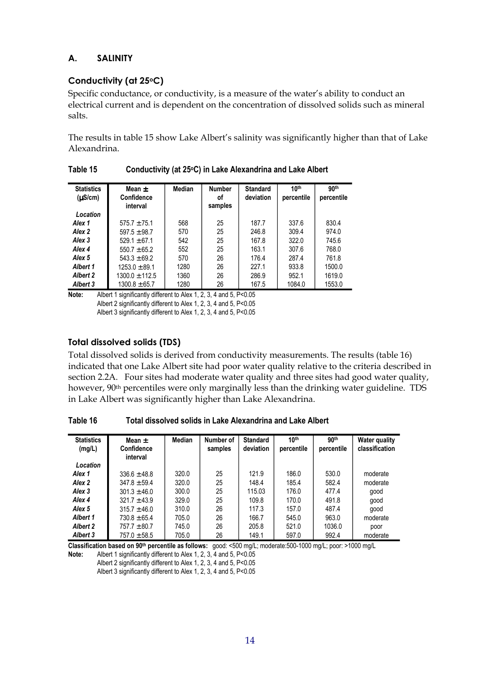#### **A. SALINITY**

#### **Conductivity (at 25oC)**

Specific conductance, or conductivity, is a measure of the water's ability to conduct an electrical current and is dependent on the concentration of dissolved solids such as mineral salts.

The results in table 15 show Lake Albert's salinity was significantly higher than that of Lake Alexandrina.

| <b>Statistics</b><br>$(\mu S/cm)$ | Mean $\pm$<br><b>Confidence</b><br>interval | Median | <b>Number</b><br>οf<br>samples | <b>Standard</b><br>deviation | 10 <sup>th</sup><br>percentile | 90 <sup>th</sup><br>percentile |
|-----------------------------------|---------------------------------------------|--------|--------------------------------|------------------------------|--------------------------------|--------------------------------|
| Location                          |                                             |        |                                |                              |                                |                                |
| Alex 1                            | $575.7 \pm 75.1$                            | 568    | 25                             | 187.7                        | 337.6                          | 830.4                          |
| Alex <sub>2</sub>                 | $597.5 \pm 98.7$                            | 570    | 25                             | 246.8                        | 309.4                          | 974.0                          |
| Alex <sub>3</sub>                 | $529.1 \pm 67.1$                            | 542    | 25                             | 167.8                        | 322.0                          | 745.6                          |
| Alex 4                            | $550.7 + 65.2$                              | 552    | 25                             | 163.1                        | 307.6                          | 768.0                          |
| Alex <sub>5</sub>                 | $543.3 + 69.2$                              | 570    | 26                             | 176.4                        | 287.4                          | 761.8                          |
| <b>Albert 1</b>                   | $1253.0 + 89.1$                             | 1280   | 26                             | 227.1                        | 933.8                          | 1500.0                         |
| Albert 2                          | $1300.0 \pm 112.5$                          | 1360   | 26                             | 286.9                        | 952.1                          | 1619.0                         |
| Albert 3                          | $1300.8 \pm 65.7$                           | 1280   | 26                             | 167.5                        | 1084.0                         | 1553.0                         |

**Table 15 Conductivity (at 25oC) in Lake Alexandrina and Lake Albert** 

**Note:** Albert 1 significantly different to Alex 1, 2, 3, 4 and 5, P<0.05 Albert 2 significantly different to Alex 1, 2, 3, 4 and 5, P<0.05 Albert 3 significantly different to Alex 1, 2, 3, 4 and 5, P<0.05

#### **Total dissolved solids (TDS)**

Total dissolved solids is derived from conductivity measurements. The results (table 16) indicated that one Lake Albert site had poor water quality relative to the criteria described in section 2.2A. Four sites had moderate water quality and three sites had good water quality, however, 90<sup>th</sup> percentiles were only marginally less than the drinking water guideline. TDS in Lake Albert was significantly higher than Lake Alexandrina.

| <b>Statistics</b><br>(mg/L) | Mean $\pm$<br>Confidence | Median | Number of<br>samples | <b>Standard</b><br>deviation | 10 <sup>th</sup><br>percentile | 90th<br>percentile | <b>Water quality</b><br>classification |
|-----------------------------|--------------------------|--------|----------------------|------------------------------|--------------------------------|--------------------|----------------------------------------|
|                             | interval                 |        |                      |                              |                                |                    |                                        |
| Location                    |                          |        |                      |                              |                                |                    |                                        |
| Alex 1                      | $336.6 \pm 48.8$         | 320.0  | 25                   | 121.9                        | 186.0                          | 530.0              | moderate                               |
| Alex 2                      | $347.8 \pm 59.4$         | 320.0  | 25                   | 148.4                        | 185.4                          | 582.4              | moderate                               |
| Alex <sub>3</sub>           | $301.3 \pm 46.0$         | 300.0  | 25                   | 115.03                       | 176.0                          | 477.4              | good                                   |
| Alex 4                      | $321.7 \pm 43.9$         | 329.0  | 25                   | 109.8                        | 170.0                          | 491.8              | qood                                   |
| Alex <sub>5</sub>           | $315.7 \pm 46.0$         | 310.0  | 26                   | 117.3                        | 157.0                          | 487.4              | qood                                   |
| <b>Albert 1</b>             | $730.8 \pm 65.4$         | 705.0  | 26                   | 166.7                        | 545.0                          | 963.0              | moderate                               |
| <b>Albert 2</b>             | $757.7 \pm 80.7$         | 745.0  | 26                   | 205.8                        | 521.0                          | 1036.0             | poor                                   |
| Albert 3                    | $757.0 \pm 58.5$         | 705.0  | 26                   | 149.1                        | 597.0                          | 992.4              | moderate                               |

**Classification based on 90th percentile as follows:** good: <500 mg/L; moderate:500-1000 mg/L; poor: >1000 mg/L

**Note:** Albert 1 significantly different to Alex 1, 2, 3, 4 and 5, P<0.05

Albert 2 significantly different to Alex 1, 2, 3, 4 and 5, P<0.05

Albert 3 significantly different to Alex 1, 2, 3, 4 and 5, P<0.05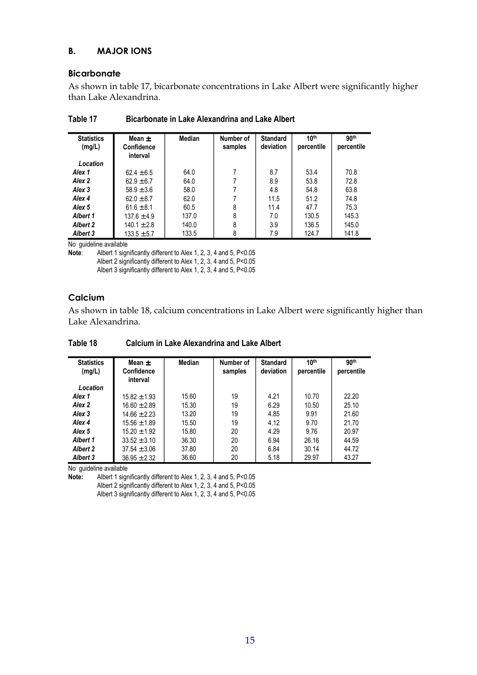#### **B. MAJOR IONS**

#### **Bicarbonate**

As shown in table 17, bicarbonate concentrations in Lake Albert were significantly higher than Lake Alexandrina.

| <b>Statistics</b><br>(mg/L) | Mean $\pm$<br><b>Confidence</b><br>interval | Median | Number of<br>samples | <b>Standard</b><br>deviation | 10 <sup>th</sup><br>percentile | 90 <sup>th</sup><br>percentile |
|-----------------------------|---------------------------------------------|--------|----------------------|------------------------------|--------------------------------|--------------------------------|
| Location                    |                                             |        |                      |                              |                                |                                |
| Alex 1                      | $62.4 \pm 6.5$                              | 64.0   |                      | 8.7                          | 53.4                           | 70.8                           |
| Alex 2                      | $62.9 \pm 6.7$                              | 64.0   |                      | 8.9                          | 53.8                           | 72.8                           |
| Alex 3                      | $58.9 \pm 3.6$                              | 58.0   |                      | 4.8                          | 54.8                           | 63.8                           |
| Alex 4                      | $62.0 \pm 8.7$                              | 62.0   |                      | 11.5                         | 51.2                           | 74.8                           |
| Alex 5                      | $61.6 \pm 8.1$                              | 60.5   | 8                    | 11.4                         | 47.7                           | 75.3                           |
| Albert 1                    | $137.6 \pm 4.9$                             | 137.0  | 8                    | 7.0                          | 130.5                          | 145.3                          |
| Albert 2                    | $140.1 \pm 2.8$                             | 140.0  | 8                    | 3.9                          | 136.5                          | 145.0                          |
| Albert 3                    | $133.5 \pm 5.7$                             | 133.5  | 8                    | 7.9                          | 124.7                          | 141.8                          |

| Table 17<br><b>Bicarbonate in Lake Alexandrina and Lake Albert</b> |
|--------------------------------------------------------------------|
|--------------------------------------------------------------------|

No guideline available

**Note**: Albert 1 significantly different to Alex 1, 2, 3, 4 and 5, P<0.05 Albert 2 significantly different to Alex 1, 2, 3, 4 and 5, P<0.05 Albert 3 significantly different to Alex 1, 2, 3, 4 and 5, P<0.05

#### **Calcium**

As shown in table 18, calcium concentrations in Lake Albert were significantly higher than Lake Alexandrina.

| <b>Statistics</b> | Mean +           | Median | Number of | <b>Standard</b> | 10 <sup>th</sup> | 90 <sup>th</sup> |
|-------------------|------------------|--------|-----------|-----------------|------------------|------------------|
| (mg/L)            | Confidence       |        | samples   | deviation       | percentile       | percentile       |
|                   |                  |        |           |                 |                  |                  |
|                   | interval         |        |           |                 |                  |                  |
| Location          |                  |        |           |                 |                  |                  |
| Alex 1            | $15.82 \pm 1.93$ | 15.60  | 19        | 4.21            | 10.70            | 22.20            |
| Alex 2            | $16.60 \pm 2.89$ | 15.30  | 19        | 6.29            | 10.50            | 25.10            |
| Alex <sub>3</sub> | $14.66 \pm 2.23$ | 13.20  | 19        | 4.85            | 9.91             | 21.60            |
| Alex 4            | $15.56 \pm 1.89$ | 15.50  | 19        | 4.12            | 9.70             | 21.70            |
| Alex <sub>5</sub> | $15.20 \pm 1.92$ | 15.80  | 20        | 4.29            | 9.76             | 20.97            |
| <b>Albert 1</b>   | $33.52 \pm 3.10$ | 36.30  | 20        | 6.94            | 26.16            | 44.59            |
| <b>Albert 2</b>   | $37.54 \pm 3.06$ | 37.80  | 20        | 6.84            | 30.14            | 44.72            |
| Albert 3          | $36.95 \pm 2.32$ | 36.60  | 20        | 5.18            | 29.97            | 43.27            |

**Table 18 Calcium in Lake Alexandrina and Lake Albert** 

No guideline available

Note: Albert 1 significantly different to Alex 1, 2, 3, 4 and 5, P<0.05 Albert 2 significantly different to Alex 1, 2, 3, 4 and 5, P<0.05 Albert 3 significantly different to Alex 1, 2, 3, 4 and 5, P<0.05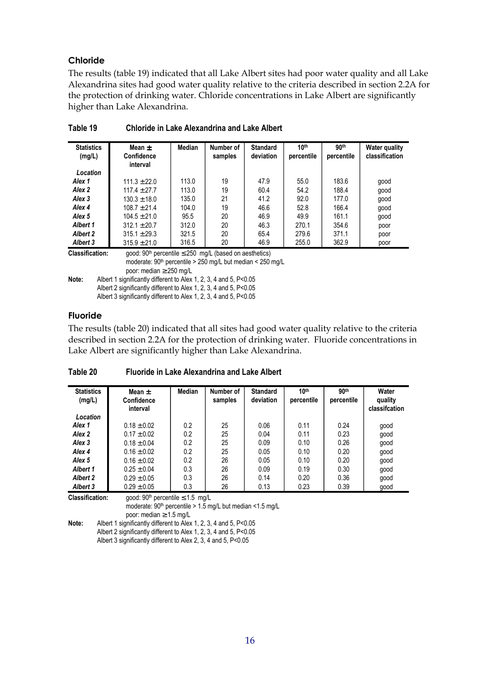#### **Chloride**

The results (table 19) indicated that all Lake Albert sites had poor water quality and all Lake Alexandrina sites had good water quality relative to the criteria described in section 2.2A for the protection of drinking water. Chloride concentrations in Lake Albert are significantly higher than Lake Alexandrina.

| <b>Statistics</b><br>(mg/L) | Mean $\pm$<br>Confidence<br>interval                                                                                                    | Median | Number of<br>samples | <b>Standard</b><br>deviation | 10 <sup>th</sup><br>percentile | 90 <sup>th</sup><br>percentile | <b>Water quality</b><br>classification |  |  |
|-----------------------------|-----------------------------------------------------------------------------------------------------------------------------------------|--------|----------------------|------------------------------|--------------------------------|--------------------------------|----------------------------------------|--|--|
| Location                    |                                                                                                                                         |        |                      |                              |                                |                                |                                        |  |  |
| Alex <sub>1</sub>           | $111.3 \pm 22.0$                                                                                                                        | 113.0  | 19                   | 47.9                         | 55.0                           | 183.6                          | good                                   |  |  |
| Alex 2                      | $117.4 \pm 27.7$                                                                                                                        | 113.0  | 19                   | 60.4                         | 54.2                           | 188.4                          | qood                                   |  |  |
| Alex 3                      | $130.3 \pm 18.0$                                                                                                                        | 135.0  | 21                   | 41.2                         | 92.0                           | 177.0                          | good                                   |  |  |
| Alex 4                      | $108.7 \pm 21.4$                                                                                                                        | 104.0  | 19                   | 46.6                         | 52.8                           | 166.4                          | good                                   |  |  |
| Alex 5                      | $104.5 \pm 21.0$                                                                                                                        | 95.5   | 20                   | 46.9                         | 49.9                           | 161.1                          | good                                   |  |  |
| Albert 1                    | $312.1 \pm 20.7$                                                                                                                        | 312.0  | 20                   | 46.3                         | 270.1                          | 354.6                          | poor                                   |  |  |
| <b>Albert 2</b>             | $315.1 \pm 29.3$                                                                                                                        | 321.5  | 20                   | 65.4                         | 279.6                          | 371.1                          | poor                                   |  |  |
| Albert 3                    | $315.9 \pm 21.0$                                                                                                                        | 316.5  | 20                   | 46.9                         | 255.0                          | 362.9                          | poor                                   |  |  |
| <b>Classification:</b>      | good: 90 <sup>th</sup> percentile $\leq$ 250 mg/L (based on aesthetics)<br>moderate: $90th$ percentile > 250 mg/L but median < 250 mg/L |        |                      |                              |                                |                                |                                        |  |  |

|--|

poor: median ≥ 250 mg/L **Note:** Albert 1 significantly different to Alex 1, 2, 3, 4 and 5, P<0.05 Albert 2 significantly different to Alex 1, 2, 3, 4 and 5, P<0.05 Albert 3 significantly different to Alex 1, 2, 3, 4 and 5, P<0.05

#### **Fluoride**

The results (table 20) indicated that all sites had good water quality relative to the criteria described in section 2.2A for the protection of drinking water. Fluoride concentrations in Lake Albert are significantly higher than Lake Alexandrina.

| <b>Statistics</b><br>(mg/L) | Mean $\pm$<br>Confidence<br>interval | Median | Number of<br>samples | <b>Standard</b><br>deviation | 10 <sup>th</sup><br>percentile | 90 <sup>th</sup><br>percentile | Water<br>quality<br>classification |
|-----------------------------|--------------------------------------|--------|----------------------|------------------------------|--------------------------------|--------------------------------|------------------------------------|
| Location                    |                                      |        |                      |                              |                                |                                |                                    |
| Alex <sub>1</sub>           | $0.18 \pm 0.02$                      | 0.2    | 25                   | 0.06                         | 0.11                           | 0.24                           | good                               |
| Alex 2                      | $0.17 \pm 0.02$                      | 0.2    | 25                   | 0.04                         | 0.11                           | 0.23                           | good                               |
| Alex 3                      | $0.18 \pm 0.04$                      | 0.2    | 25                   | 0.09                         | 0.10                           | 0.26                           | good                               |
| Alex 4                      | $0.16 \pm 0.02$                      | 0.2    | 25                   | 0.05                         | 0.10                           | 0.20                           | good                               |
| Alex <sub>5</sub>           | $0.16 \pm 0.02$                      | 0.2    | 26                   | 0.05                         | 0.10                           | 0.20                           | good                               |
| Albert 1                    | $0.25 \pm 0.04$                      | 0.3    | 26                   | 0.09                         | 0.19                           | 0.30                           | good                               |
| <b>Albert 2</b>             | $0.29 \pm 0.05$                      | 0.3    | 26                   | 0.14                         | 0.20                           | 0.36                           | good                               |
| Albert 3                    | $0.29 \pm 0.05$                      | 0.3    | 26                   | 0.13                         | 0.23                           | 0.39                           | good                               |

**Table 20 Fluoride in Lake Alexandrina and Lake Albert** 

**Classification:** good: 90<sup>th</sup> percentile ≤ 1.5 mg/L moderate:  $90<sup>th</sup>$  percentile > 1.5 mg/L but median <1.5 mg/L poor: median ≥ 1.5 mg/L

Note: Albert 1 significantly different to Alex 1, 2, 3, 4 and 5, P<0.05 Albert 2 significantly different to Alex 1, 2, 3, 4 and 5, P<0.05 Albert 3 significantly different to Alex 2, 3, 4 and 5, P<0.05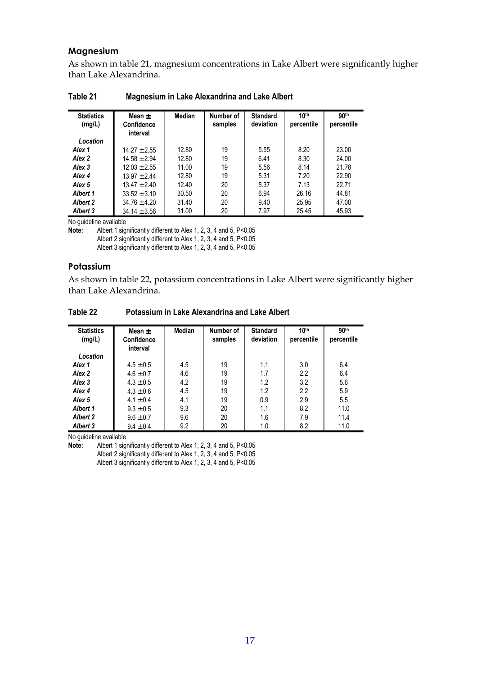#### **Magnesium**

As shown in table 21, magnesium concentrations in Lake Albert were significantly higher than Lake Alexandrina.

| <b>Statistics</b><br>(mg/L) | Mean $\pm$<br>Confidence<br>interval | Median | Number of<br>samples | <b>Standard</b><br>deviation | 10 <sup>th</sup><br>percentile | 90 <sup>th</sup><br>percentile |
|-----------------------------|--------------------------------------|--------|----------------------|------------------------------|--------------------------------|--------------------------------|
| Location                    |                                      |        |                      |                              |                                |                                |
| Alex 1                      | $14.27 \pm 2.55$                     | 12.80  | 19                   | 5.55                         | 8.20                           | 23.00                          |
| Alex 2                      | $14.58 \pm 2.94$                     | 12.80  | 19                   | 6.41                         | 8.30                           | 24.00                          |
| Alex 3                      | $12.03 + 2.55$                       | 11.00  | 19                   | 5.56                         | 8.14                           | 21.78                          |
| Alex 4                      | $13.97 + 2.44$                       | 12.80  | 19                   | 5.31                         | 7.20                           | 22.90                          |
| Alex <sub>5</sub>           | $13.47 + 2.40$                       | 12.40  | 20                   | 5.37                         | 7.13                           | 22.71                          |
| Albert 1                    | $33.52 \pm 3.10$                     | 30.50  | 20                   | 6.94                         | 26.16                          | 44.81                          |
| <b>Albert 2</b>             | $34.76 \pm 4.20$                     | 31.40  | 20                   | 9.40                         | 25.95                          | 47.00                          |
| <b>Albert 3</b>             | $34.14 \pm 3.56$                     | 31.00  | 20                   | 7.97                         | 25.45                          | 45.93                          |

**Table 21 Magnesium in Lake Alexandrina and Lake Albert** 

No guideline available<br>**Note:** Albert 1 sign

**Note:** Albert 1 significantly different to Alex 1, 2, 3, 4 and 5, P<0.05

Albert 2 significantly different to Alex 1, 2, 3, 4 and 5, P<0.05

Albert 3 significantly different to Alex 1, 2, 3, 4 and 5, P<0.05

#### **Potassium**

As shown in table 22, potassium concentrations in Lake Albert were significantly higher than Lake Alexandrina.

| Table 22 | Potassium in Lake Alexandrina and Lake Albert |  |
|----------|-----------------------------------------------|--|
|          |                                               |  |

| <b>Statistics</b><br>(mg/L) | Mean $\pm$<br>Confidence<br>interval | <b>Median</b> | Number of<br>samples | <b>Standard</b><br>deviation | 10 <sup>th</sup><br>percentile | 90 <sup>th</sup><br>percentile |
|-----------------------------|--------------------------------------|---------------|----------------------|------------------------------|--------------------------------|--------------------------------|
| Location                    |                                      |               |                      |                              |                                |                                |
| Alex 1                      | $4.5 \pm 0.5$                        | 4.5           | 19                   | 1.1                          | 3.0                            | 6.4                            |
| Alex 2                      | $4.6 \pm 0.7$                        | 4.6           | 19                   | 1.7                          | 2.2                            | 6.4                            |
| Alex 3                      | $4.3 \pm 0.5$                        | 4.2           | 19                   | 1.2                          | 3.2                            | 5.6                            |
| Alex 4                      | $4.3 \pm 0.6$                        | 4.5           | 19                   | 1.2                          | 2.2                            | 5.9                            |
| Alex <sub>5</sub>           | $4.1 \pm 0.4$                        | 4.1           | 19                   | 0.9                          | 2.9                            | 5.5                            |
| Albert 1                    | $9.3 \pm 0.5$                        | 9.3           | 20                   | 1.1                          | 8.2                            | 11.0                           |
| <b>Albert 2</b>             | $9.6 \pm 0.7$                        | 9.6           | 20                   | 1.6                          | 7.9                            | 11.4                           |
| Albert 3                    | $9.4 \pm 0.4$                        | 9.2           | 20                   | 1.0                          | 8.2                            | 11.0                           |

No guideline available

**Note:** Albert 1 significantly different to Alex 1, 2, 3, 4 and 5, P<0.05 Albert 2 significantly different to Alex 1, 2, 3, 4 and 5, P<0.05

Albert 3 significantly different to Alex 1, 2, 3, 4 and 5, P<0.05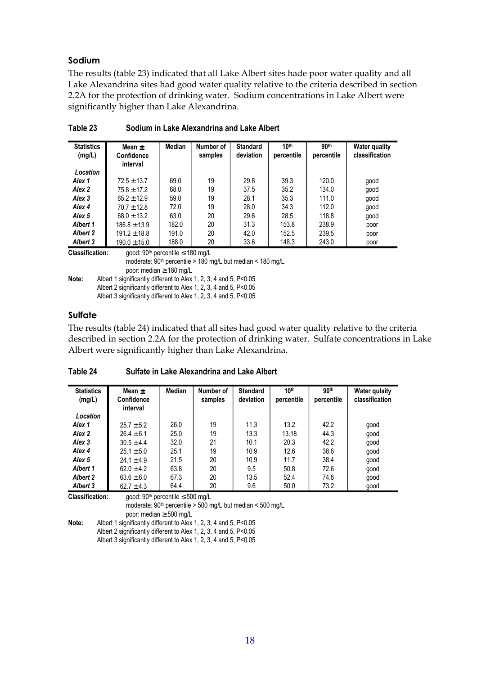#### **Sodium**

The results (table 23) indicated that all Lake Albert sites hade poor water quality and all Lake Alexandrina sites had good water quality relative to the criteria described in section 2.2A for the protection of drinking water. Sodium concentrations in Lake Albert were significantly higher than Lake Alexandrina.

| <b>Statistics</b><br>(mg/L) | Mean $\pm$<br><b>Confidence</b><br>interval       | Median | Number of<br>samples | <b>Standard</b><br>deviation | 10 <sup>th</sup><br>percentile | 90 <sup>th</sup><br>percentile | <b>Water quality</b><br>classification |
|-----------------------------|---------------------------------------------------|--------|----------------------|------------------------------|--------------------------------|--------------------------------|----------------------------------------|
| Location                    |                                                   |        |                      |                              |                                |                                |                                        |
| Alex <sub>1</sub>           | $72.5 \pm 13.7$                                   | 69.0   | 19                   | 29.8                         | 39.3                           | 120.0                          | good                                   |
| Alex 2                      | $75.8 \pm 17.2$                                   | 68.0   | 19                   | 37.5                         | 35.2                           | 134.0                          | good                                   |
| Alex 3                      | $65.2 \pm 12.9$                                   | 59.0   | 19                   | 28.1                         | 35.3                           | 111.0                          | good                                   |
| Alex 4                      | $70.7 \pm 12.8$                                   | 72.0   | 19                   | 28.0                         | 34.3                           | 112.0                          | good                                   |
| Alex <sub>5</sub>           | $68.0 \pm 13.2$                                   | 63.0   | 20                   | 29.6                         | 28.5                           | 118.8                          | qood                                   |
| Albert 1                    | $186.8 \pm 13.9$                                  | 182.0  | 20                   | 31.3                         | 153.8                          | 238.9                          | poor                                   |
| <b>Albert 2</b>             | $191.2 \pm 18.8$                                  | 191.0  | 20                   | 42.0                         | 152.5                          | 239.5                          | poor                                   |
| Albert 3                    | $190.0 \pm 15.0$                                  | 188.0  | 20                   | 33.6                         | 148.3                          | 243.0                          | poor                                   |
| <b>Classification:</b>      | good: 90 <sup>th</sup> percentile $\leq$ 180 mg/L |        |                      |                              |                                |                                |                                        |

moderate: 90th percentile > 180 mg/L but median < 180 mg/L

**Table 23 Sodium in Lake Alexandrina and Lake Albert** 

poor: median ≥ 180 mg/L **Note:** Albert 1 significantly different to Alex 1, 2, 3, 4 and 5, P<0.05 Albert 2 significantly different to Alex 1, 2, 3, 4 and 5, P<0.05 Albert 3 significantly different to Alex 1, 2, 3, 4 and 5, P<0.05

#### **Sulfate**

The results (table 24) indicated that all sites had good water quality relative to the criteria described in section 2.2A for the protection of drinking water. Sulfate concentrations in Lake Albert were significantly higher than Lake Alexandrina.

| <b>Statistics</b><br>(mg/L) | Mean $\pm$<br><b>Confidence</b><br>interval | Median | Number of<br>samples | <b>Standard</b><br>deviation | 10 <sup>th</sup><br>percentile | 90 <sup>th</sup><br>percentile | <b>Water qulaity</b><br>classification |
|-----------------------------|---------------------------------------------|--------|----------------------|------------------------------|--------------------------------|--------------------------------|----------------------------------------|
| Location                    |                                             |        |                      |                              |                                |                                |                                        |
| Alex 1                      | $25.7 \pm 5.2$                              | 26.0   | 19                   | 11.3                         | 13.2                           | 42.2                           | good                                   |
| Alex 2                      | $26.4 \pm 6.1$                              | 25.0   | 19                   | 13.3                         | 13.18                          | 44.3                           | good                                   |
| Alex 3                      | $30.5 \pm 4.4$                              | 32.0   | 21                   | 10.1                         | 20.3                           | 42.2                           | qood                                   |
| Alex 4                      | $25.1 \pm 5.0$                              | 25.1   | 19                   | 10.9                         | 12.6                           | 38.6                           | good                                   |
| Alex <sub>5</sub>           | $24.1 \pm 4.9$                              | 21.5   | 20                   | 10.9                         | 11.7                           | 38.4                           | good                                   |
| Albert 1                    | $62.0 \pm 4.2$                              | 63.8   | 20                   | 9.5                          | 50.8                           | 72.6                           | good                                   |
| <b>Albert 2</b>             | $63.6 \pm 6.0$                              | 67.3   | 20                   | 13.5                         | 52.4                           | 74.8                           | good                                   |
| <b>Albert 3</b>             | $62.7 \pm 4.3$                              | 64.4   | 20                   | 9.6                          | 50.0                           | 73.2                           | good                                   |

**Table 24 Sulfate in Lake Alexandrina and Lake Albert** 

**Classification:** good:  $90<sup>th</sup>$  percentile  $\leq 500$  mg/L moderate: 90<sup>th</sup> percentile > 500 mg/L but median < 500 mg/L poor: median ≥ 500 mg/L

Note: Albert 1 significantly different to Alex 1, 2, 3, 4 and 5, P<0.05 Albert 2 significantly different to Alex 1, 2, 3, 4 and 5, P<0.05 Albert 3 significantly different to Alex 1, 2, 3, 4 and 5, P<0.05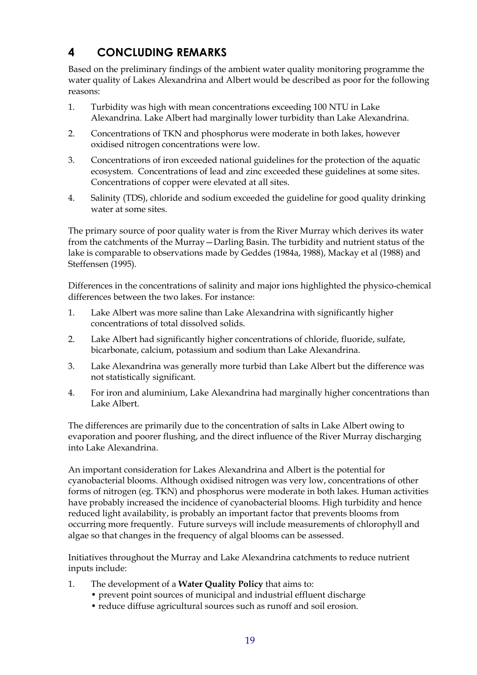## <span id="page-23-0"></span>**4 CONCLUDING REMARKS**

Based on the preliminary findings of the ambient water quality monitoring programme the water quality of Lakes Alexandrina and Albert would be described as poor for the following reasons:

- 1. Turbidity was high with mean concentrations exceeding 100 NTU in Lake Alexandrina. Lake Albert had marginally lower turbidity than Lake Alexandrina.
- 2. Concentrations of TKN and phosphorus were moderate in both lakes, however oxidised nitrogen concentrations were low.
- 3. Concentrations of iron exceeded national guidelines for the protection of the aquatic ecosystem. Concentrations of lead and zinc exceeded these guidelines at some sites. Concentrations of copper were elevated at all sites.
- 4. Salinity (TDS), chloride and sodium exceeded the guideline for good quality drinking water at some sites.

The primary source of poor quality water is from the River Murray which derives its water from the catchments of the Murray—Darling Basin. The turbidity and nutrient status of the lake is comparable to observations made by Geddes (1984a, 1988), Mackay et al (1988) and Steffensen (1995).

Differences in the concentrations of salinity and major ions highlighted the physico-chemical differences between the two lakes. For instance:

- 1. Lake Albert was more saline than Lake Alexandrina with significantly higher concentrations of total dissolved solids.
- 2. Lake Albert had significantly higher concentrations of chloride, fluoride, sulfate, bicarbonate, calcium, potassium and sodium than Lake Alexandrina.
- 3. Lake Alexandrina was generally more turbid than Lake Albert but the difference was not statistically significant.
- 4. For iron and aluminium, Lake Alexandrina had marginally higher concentrations than Lake Albert.

The differences are primarily due to the concentration of salts in Lake Albert owing to evaporation and poorer flushing, and the direct influence of the River Murray discharging into Lake Alexandrina.

An important consideration for Lakes Alexandrina and Albert is the potential for cyanobacterial blooms. Although oxidised nitrogen was very low, concentrations of other forms of nitrogen (eg. TKN) and phosphorus were moderate in both lakes. Human activities have probably increased the incidence of cyanobacterial blooms. High turbidity and hence reduced light availability, is probably an important factor that prevents blooms from occurring more frequently. Future surveys will include measurements of chlorophyll and algae so that changes in the frequency of algal blooms can be assessed.

Initiatives throughout the Murray and Lake Alexandrina catchments to reduce nutrient inputs include:

- 1. The development of a **Water Quality Policy** that aims to:
	- prevent point sources of municipal and industrial effluent discharge
	- reduce diffuse agricultural sources such as runoff and soil erosion.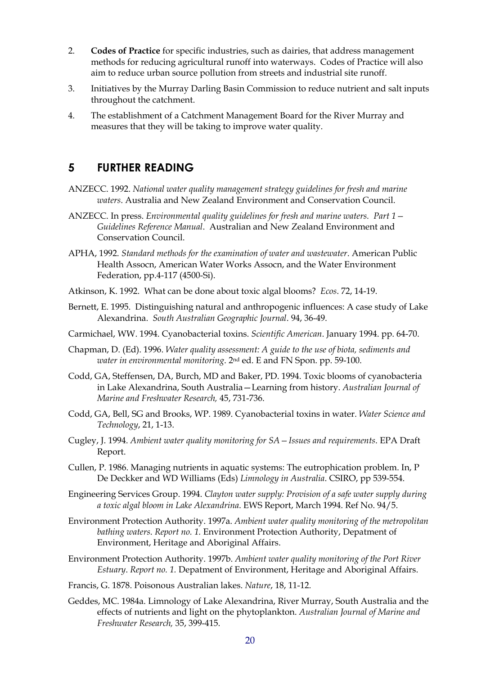- <span id="page-24-0"></span>2. **Codes of Practice** for specific industries, such as dairies, that address management methods for reducing agricultural runoff into waterways. Codes of Practice will also aim to reduce urban source pollution from streets and industrial site runoff.
- 3. Initiatives by the Murray Darling Basin Commission to reduce nutrient and salt inputs throughout the catchment.
- 4. The establishment of a Catchment Management Board for the River Murray and measures that they will be taking to improve water quality.

#### **5 FURTHER READING**

- ANZECC. 1992. *National water quality management strategy guidelines for fresh and marine waters*. Australia and New Zealand Environment and Conservation Council.
- ANZECC. In press. *Environmental quality guidelines for fresh and marine waters. Part 1 Guidelines Reference Manual*. Australian and New Zealand Environment and Conservation Council.
- APHA, 1992. *Standard methods for the examination of water and wastewater*. American Public Health Assocn, American Water Works Assocn, and the Water Environment Federation, pp.4-117 (4500-Si).
- Atkinson, K. 1992. What can be done about toxic algal blooms? *Ecos*. 72, 14-19.
- Bernett, E. 1995. Distinguishing natural and anthropogenic influences: A case study of Lake Alexandrina. *South Australian Geographic Journal*. 94, 36-49.
- Carmichael, WW. 1994. Cyanobacterial toxins. *Scientific American*. January 1994. pp. 64-70.
- Chapman, D. (Ed). 1996. *Water quality assessment: A guide to the use of biota, sediments and water in environmental monitoring*. 2nd ed. E and FN Spon. pp. 59-100.
- Codd, GA, Steffensen, DA, Burch, MD and Baker, PD. 1994. Toxic blooms of cyanobacteria in Lake Alexandrina, South Australia—Learning from history. *Australian Journal of Marine and Freshwater Research,* 45, 731-736.
- Codd, GA, Bell, SG and Brooks, WP. 1989. Cyanobacterial toxins in water. *Water Science and Technology*, 21, 1-13.
- Cugley, J. 1994. *Ambient water quality monitoring for SA Issues and requirements*. EPA Draft Report.
- Cullen, P. 1986. Managing nutrients in aquatic systems: The eutrophication problem. In, P De Deckker and WD Williams (Eds) *Limnology in Australia*. CSIRO, pp 539-554.
- Engineering Services Group. 1994. *Clayton water supply: Provision of a safe water supply during a toxic algal bloom in Lake Alexandrina*. EWS Report, March 1994. Ref No. 94/5.
- Environment Protection Authority. 1997a. *Ambient water quality monitoring of the metropolitan bathing waters*. *Report no. 1.* Environment Protection Authority, Depatment of Environment, Heritage and Aboriginal Affairs.
- Environment Protection Authority. 1997b. *Ambient water quality monitoring of the Port River Estuary*. *Report no. 1.* Depatment of Environment, Heritage and Aboriginal Affairs.
- Francis, G. 1878. Poisonous Australian lakes. *Nature*, 18, 11-12.
- Geddes, MC. 1984a. Limnology of Lake Alexandrina, River Murray, South Australia and the effects of nutrients and light on the phytoplankton. *Australian Journal of Marine and Freshwater Research,* 35, 399-415.